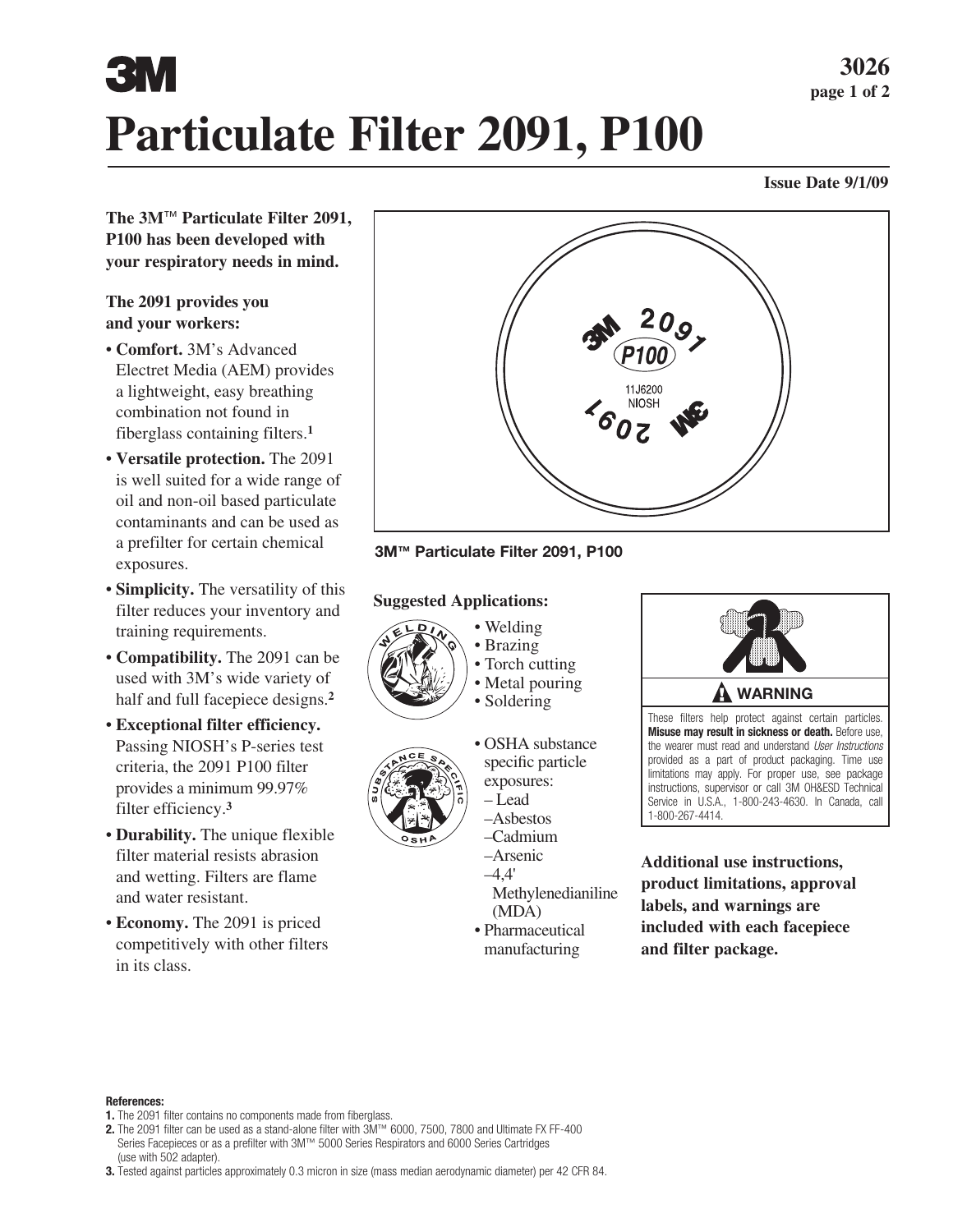# **Particulate Filter 2091, P100**

### **Issue Date 9/1/09**

**The 3M**™ **Particulate Filter 2091, P100 has been developed with your respiratory needs in mind.**

### **The 2091 provides you and your workers:**

- **Comfort.** 3M's Advanced Electret Media (AEM) provides a lightweight, easy breathing combination not found in fiberglass containing filters.**<sup>1</sup>**
- **Versatile protection.** The 2091 is well suited for a wide range of oil and non-oil based particulate contaminants and can be used as a prefilter for certain chemical exposures.
- **Simplicity.** The versatility of this filter reduces your inventory and training requirements.
- **Compatibility.** The 2091 can be used with 3M's wide variety of half and full facepiece designs.**<sup>2</sup>**
- **Exceptional filter efficiency.**  Passing NIOSH's P-series test criteria, the 2091 P100 filter provides a minimum 99.97% filter efficiency.**<sup>3</sup>**
- **Durability.** The unique flexible filter material resists abrasion and wetting. Filters are flame and water resistant.
- **Economy.** The 2091 is priced competitively with other filters in its class.



**3M™ Particulate Filter 2091, P100**

### **Suggested Applications:**



• Brazing • Torch cutting

• Welding

- Metal pouring
- Soldering



- OSHA substance specific particle exposures: – Lead –Asbestos
- –Cadmium –Arsenic
- $-4.4'$
- Methylenedianiline
- (MDA) • Pharmaceutical
- manufacturing



These filters help protect against certain particles. **Misuse may result in sickness or death.** Before use, the wearer must read and understand *User Instructions* provided as a part of product packaging. Time use limitations may apply. For proper use, see package instructions, supervisor or call 3M OH&ESD Technical Service in U.S.A., 1-800-243-4630. In Canada, call 1-800-267-4414.

**Additional use instructions, product limitations, approval labels, and warnings are included with each facepiece and filter package.**

### **References:**

- **1.** The 2091 filter contains no components made from fiberglass.
- **2.** The 2091 filter can be used as a stand-alone filter with 3M™ 6000, 7500, 7800 and Ultimate FX FF-400 Series Facepieces or as a prefilter with 3M™ 5000 Series Respirators and 6000 Series Cartridges (use with 502 adapter).
- **3.** Tested against particles approximately 0.3 micron in size (mass median aerodynamic diameter) per 42 CFR 84.

**3026 page 1 of 2**